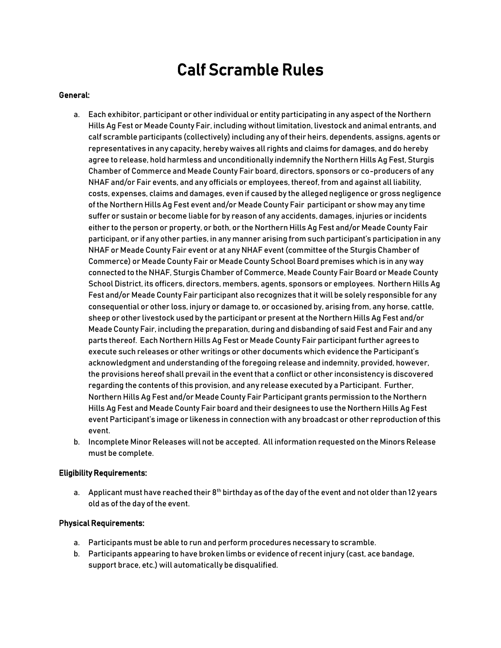## Calf Scramble Rules

#### General:

- a. Each exhibitor, participant or other individual or entity participating in any aspect of the Northern Hills Ag Fest or Meade County Fair, including without limitation, livestock and animal entrants, and calf scramble participants (collectively) including any of their heirs, dependents, assigns, agents or representatives in any capacity, hereby waives all rights and claims for damages, and do hereby agree to release, hold harmless and unconditionally indemnify the Northern Hills Ag Fest, Sturgis Chamber of Commerce and Meade County Fair board, directors, sponsors or co-producers of any NHAF and/or Fair events, and any officials or employees, thereof, from and against all liability, costs, expenses, claims and damages, even if caused by the alleged negligence or gross negligence of the Northern Hills Ag Fest event and/or Meade County Fair participant or show may any time suffer or sustain or become liable for by reason of any accidents, damages, injuries or incidents either to the person or property, or both, or the Northern Hills Ag Fest and/or Meade County Fair participant, or if any other parties, in any manner arising from such participant's participation in any NHAF or Meade County Fair event or at any NHAF event (committee of the Sturgis Chamber of Commerce) or Meade County Fair or Meade County School Board premises which is in any way connected to the NHAF, Sturgis Chamber of Commerce, Meade County Fair Board or Meade County School District, its officers, directors, members, agents, sponsors or employees. Northern Hills Ag Fest and/or Meade County Fair participant also recognizes that it will be solely responsible for any consequential or other loss, injury or damage to, or occasioned by, arising from, any horse, cattle, sheep or other livestock used by the participant or present at the Northern Hills Ag Fest and/or Meade County Fair, including the preparation, during and disbanding of said Fest and Fair and any parts thereof. Each Northern Hills Ag Fest or Meade County Fair participant further agrees to execute such releases or other writings or other documents which evidence the Participant's acknowledgment and understanding of the foregoing release and indemnity, provided, however, the provisions hereof shall prevail in the event that a conflict or other inconsistency is discovered regarding the contents of this provision, and any release executed by a Participant. Further, Northern Hills Ag Fest and/or Meade County Fair Participant grants permission to the Northern Hills Ag Fest and Meade County Fair board and their designees to use the Northern Hills Ag Fest event Participant's image or likeness in connection with any broadcast or other reproduction of this event.
- b. Incomplete Minor Releases will not be accepted. All information requested on the Minors Release must be complete.

#### Eligibility Requirements:

a. Applicant must have reached their  $8<sup>th</sup>$  birthday as of the day of the event and not older than 12 years old as of the day of the event.

#### Physical Requirements:

- a. Participants must be able to run and perform procedures necessary to scramble.
- b. Participants appearing to have broken limbs or evidence of recent injury (cast, ace bandage, support brace, etc.) will automatically be disqualified.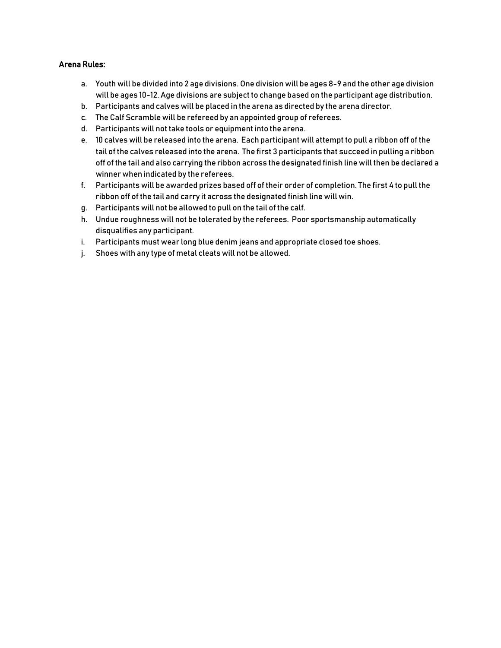### Arena Rules:

- a. Youth will be divided into 2 age divisions. One division will be ages 8-9 and the other age division will be ages 10-12. Age divisions are subject to change based on the participant age distribution.
- b. Participants and calves will be placed in the arena as directed by the arena director.
- c. The Calf Scramble will be refereed by an appointed group of referees.
- d. Participants will not take tools or equipment into the arena.
- e. 10 calves will be released into the arena. Each participant will attempt to pull a ribbon off of the tail of the calves released into the arena. The first 3 participants that succeed in pulling a ribbon off of the tail and also carrying the ribbon across the designated finish line will then be declared a winner when indicated by the referees.
- f. Participants will be awarded prizes based off of their order of completion. The first 4 to pull the ribbon off of the tail and carry it across the designated finish line will win.
- g. Participants will not be allowed to pull on the tail of the calf.
- h. Undue roughness will not be tolerated by the referees. Poor sportsmanship automatically disqualifies any participant.
- i. Participants must wear long blue denim jeans and appropriate closed toe shoes.
- j. Shoes with any type of metal cleats will not be allowed.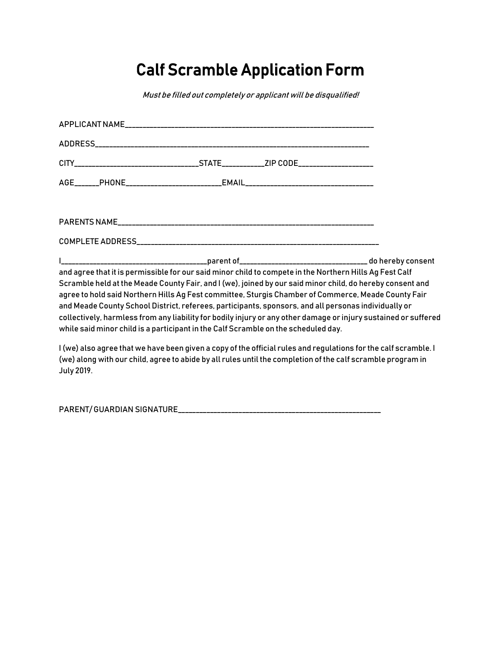# Calf Scramble Application Form

Must be filled out completely or applicant will be disqualified!

|                                                                                                                                                                                                                                                                                                                                                                                                                                                                                                                                                                                                                                              | AGE_______PHONE___________________________EMAIL_________________________________                            |  |                                                                                                                 |  |
|----------------------------------------------------------------------------------------------------------------------------------------------------------------------------------------------------------------------------------------------------------------------------------------------------------------------------------------------------------------------------------------------------------------------------------------------------------------------------------------------------------------------------------------------------------------------------------------------------------------------------------------------|-------------------------------------------------------------------------------------------------------------|--|-----------------------------------------------------------------------------------------------------------------|--|
|                                                                                                                                                                                                                                                                                                                                                                                                                                                                                                                                                                                                                                              |                                                                                                             |  |                                                                                                                 |  |
|                                                                                                                                                                                                                                                                                                                                                                                                                                                                                                                                                                                                                                              |                                                                                                             |  |                                                                                                                 |  |
| and agree that it is permissible for our said minor child to compete in the Northern Hills Ag Fest Calf<br>Scramble held at the Meade County Fair, and I (we), joined by our said minor child, do hereby consent and<br>agree to hold said Northern Hills Ag Fest committee, Sturgis Chamber of Commerce, Meade County Fair<br>and Meade County School District, referees, participants, sponsors, and all personas individually or<br>collectively, harmless from any liability for bodily injury or any other damage or injury sustained or suffered<br>while said minor child is a participant in the Calf Scramble on the scheduled day. |                                                                                                             |  |                                                                                                                 |  |
|                                                                                                                                                                                                                                                                                                                                                                                                                                                                                                                                                                                                                                              | (we) along with our child, agree to abide by all rules until the completion of the calf scramble program in |  | I (we) also agree that we have been given a copy of the official rules and regulations for the calf scramble. I |  |

July 2019.

PARENT/ GUARDIAN SIGNATURE\_\_\_\_\_\_\_\_\_\_\_\_\_\_\_\_\_\_\_\_\_\_\_\_\_\_\_\_\_\_\_\_\_\_\_\_\_\_\_\_\_\_\_\_\_\_\_\_\_\_\_\_\_\_\_\_\_